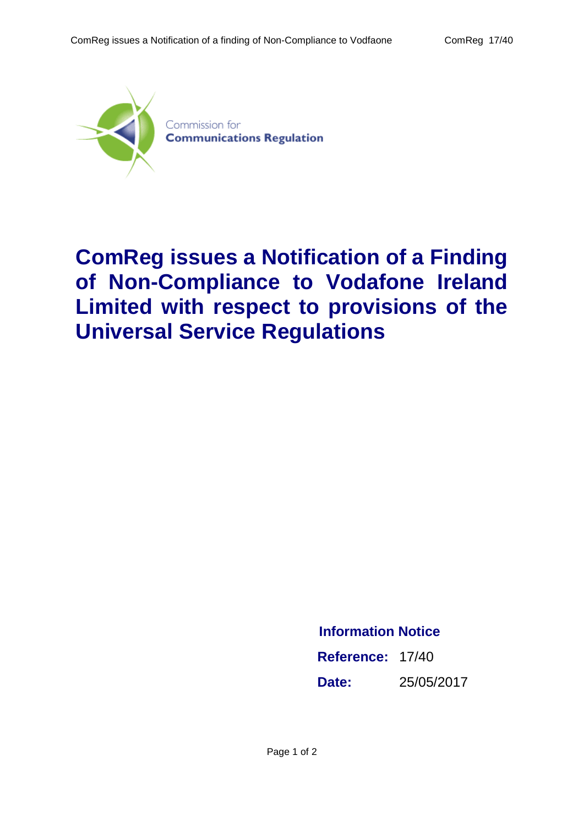

## **ComReg issues a Notification of a Finding of Non-Compliance to Vodafone Ireland Limited with respect to provisions of the Universal Service Regulations**

## **Information Notice**

**Reference:** 17/40 **Date:** 25/05/2017